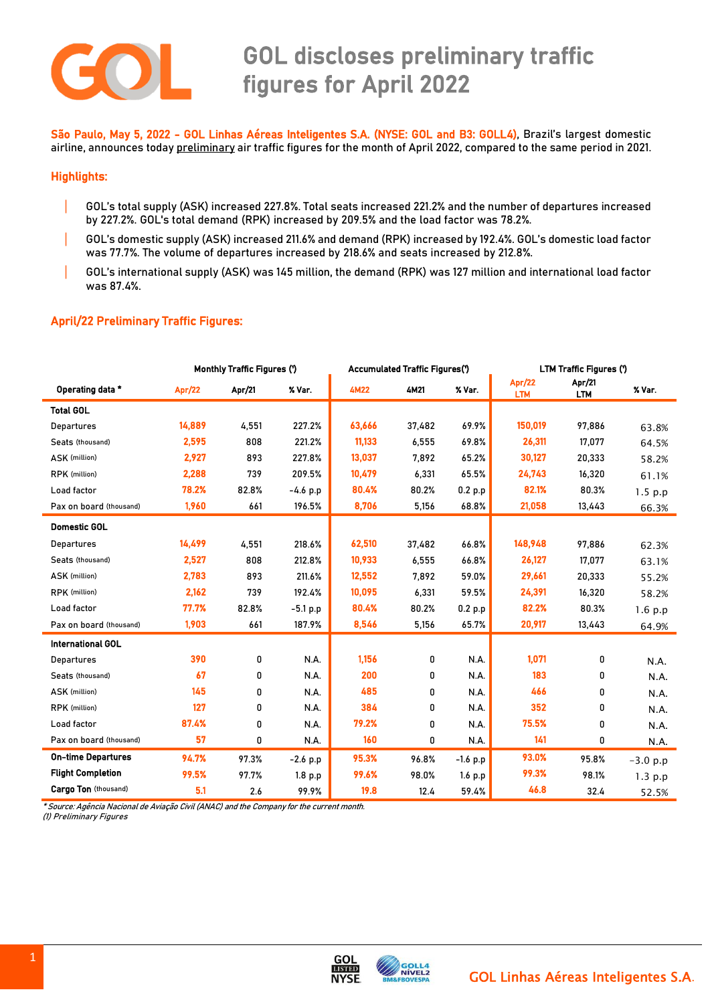

# GOL discloses preliminary traffic figures for April 2022

 São Paulo, May 5, 2022 - GOL Linhas Aéreas Inteligentes S.A. (NYSE: GOL and B3: GOLL4), Brazil's largest domestic airline, announces today preliminary air traffic figures for the month of April 2022, compared to the same period in 2021.

### Highlights:

- | GOL's total supply (ASK) increased 227.8%. Total seats increased 221.2% and the number of departures increased by 227.2%. GOL's total demand (RPK) increased by 209.5% and the load factor was 78.2%.
- | GOL's domestic supply (ASK) increased 211.6% and demand (RPK) increased by 192.4%. GOL's domestic load factor was 77.7%. The volume of departures increased by 218.6% and seats increased by 212.8%.
- | GOL's international supply (ASK) was 145 million, the demand (RPK) was 127 million and international load factor was 87.4%.

## April/22 Preliminary Traffic Figures:

|                           | <b>Monthly Traffic Figures (')</b> |        |            | <b>Accumulated Traffic Figures(')</b> |        |            | LTM Traffic Figures (') |                      |            |
|---------------------------|------------------------------------|--------|------------|---------------------------------------|--------|------------|-------------------------|----------------------|------------|
| Operating data *          | Apr/22                             | Apr/21 | % Var.     | <b>4M22</b>                           | 4M21   | % Var.     | Apr/22<br><b>LTM</b>    | Apr/21<br><b>LTM</b> | % Var.     |
| <b>Total GOL</b>          |                                    |        |            |                                       |        |            |                         |                      |            |
| Departures                | 14,889                             | 4,551  | 227.2%     | 63,666                                | 37,482 | 69.9%      | 150,019                 | 97,886               | 63.8%      |
| Seats (thousand)          | 2,595                              | 808    | 221.2%     | 11,133                                | 6,555  | 69.8%      | 26,311                  | 17,077               | 64.5%      |
| ASK (million)             | 2,927                              | 893    | 227.8%     | 13,037                                | 7,892  | 65.2%      | 30,127                  | 20,333               | 58.2%      |
| RPK (million)             | 2,288                              | 739    | 209.5%     | 10,479                                | 6,331  | 65.5%      | 24,743                  | 16,320               | 61.1%      |
| Load factor               | 78.2%                              | 82.8%  | $-4.6 p.p$ | 80.4%                                 | 80.2%  | 0.2 p.p    | 82.1%                   | 80.3%                | 1.5 p.p    |
| Pax on board (thousand)   | 1,960                              | 661    | 196.5%     | 8,706                                 | 5,156  | 68.8%      | 21,058                  | 13,443               | 66.3%      |
| <b>Domestic GOL</b>       |                                    |        |            |                                       |        |            |                         |                      |            |
| Departures                | 14,499                             | 4,551  | 218.6%     | 62,510                                | 37,482 | 66.8%      | 148,948                 | 97,886               | 62.3%      |
| Seats (thousand)          | 2,527                              | 808    | 212.8%     | 10,933                                | 6,555  | 66.8%      | 26,127                  | 17,077               | 63.1%      |
| ASK (million)             | 2,783                              | 893    | 211.6%     | 12,552                                | 7,892  | 59.0%      | 29,661                  | 20,333               | 55.2%      |
| RPK (million)             | 2,162                              | 739    | 192.4%     | 10,095                                | 6,331  | 59.5%      | 24,391                  | 16,320               | 58.2%      |
| Load factor               | 77.7%                              | 82.8%  | $-5.1 p.p$ | 80.4%                                 | 80.2%  | 0.2 p.p    | 82.2%                   | 80.3%                | 1.6 p.p    |
| Pax on board (thousand)   | 1,903                              | 661    | 187.9%     | 8,546                                 | 5,156  | 65.7%      | 20,917                  | 13,443               | 64.9%      |
| <b>International GOL</b>  |                                    |        |            |                                       |        |            |                         |                      |            |
| Departures                | 390                                | 0      | N.A.       | 1,156                                 | 0      | N.A.       | 1,071                   | 0                    | N.A.       |
| Seats (thousand)          | 67                                 | 0      | N.A.       | 200                                   | 0      | N.A.       | 183                     | 0                    | N.A.       |
| ASK (million)             | 145                                | 0      | N.A.       | 485                                   | 0      | N.A.       | 466                     | 0                    | N.A.       |
| RPK (million)             | 127                                | 0      | N.A.       | 384                                   | 0      | N.A.       | 352                     | 0                    | N.A.       |
| Load factor               | 87.4%                              | 0      | N.A.       | 79.2%                                 | 0      | N.A.       | 75.5%                   | 0                    | N.A.       |
| Pax on board (thousand)   | 57                                 | 0      | N.A.       | 160                                   | 0      | N.A.       | 141                     | 0                    | N.A.       |
| <b>On-time Departures</b> | 94.7%                              | 97.3%  | $-2.6$ p.p | 95.3%                                 | 96.8%  | $-1.6$ p.p | 93.0%                   | 95.8%                | $-3.0 p.p$ |
| <b>Flight Completion</b>  | 99.5%                              | 97.7%  | 1.8 p.p    | 99.6%                                 | 98.0%  | 1.6 p.p    | 99.3%                   | 98.1%                | $1.3$ p.p  |
| Cargo Ton (thousand)      | 5.1                                | 2.6    | 99.9%      | 19.8                                  | 12.4   | 59.4%      | 46.8                    | 32.4                 | 52.5%      |

\* Source: Agência Nacional de Aviação Civil (ANAC) and the Company for the current month.

(1) Preliminary Figures